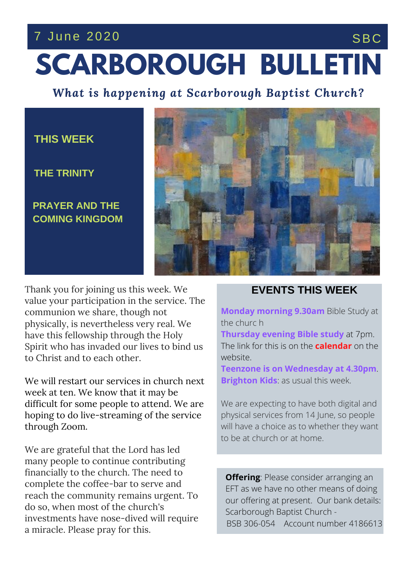## 7 June 2020 SBC

# **SCARBOROUGH BULLETIN**

*What is happening at Scarborough Baptist Church?*

#### **THIS WEEK**

**THE TRINITY**

**PRAYER AND THE COMING KINGDOM**



 $\text{C}}$  **THESE** and to each other. Thank you for joining us this week. We value your participation in the service. The communion we share, though not physically, is nevertheless very real. We have this fellowship through the Holy Spirit who has invaded our lives to bind us to Christ and to each other.

We will restart our services in church next week at ten. We know that it may be difficult for some people to attend. We are hoping to do live-streaming of the service through Zoom.

We are grateful that the Lord has led many people to continue contributing financially to the church. The need to complete the coffee-bar to serve and reach the community remains urgent. To do so, when most of the church's investments have nose-dived will require a miracle. Please pray for this.

#### **EVENTS THIS WEEK**

**Monday morning 9.30am** Bible Study at the churc h

**Thursday evening Bible study** at 7pm. The link for this is on the **calendar** on the website.

**Teenzone is on Wednesday at 4.30pm**. **Brighton Kids**: as usual this week.

We are expecting to have both digital and physical services from 14 June, so people will have a choice as to whether they want to be at church or at home.

**Offering**: Please consider arranging an EFT as we have no other means of doing our offering at present. Our bank details: Scarborough Baptist Church - BSB 306-054 Account number 4186613